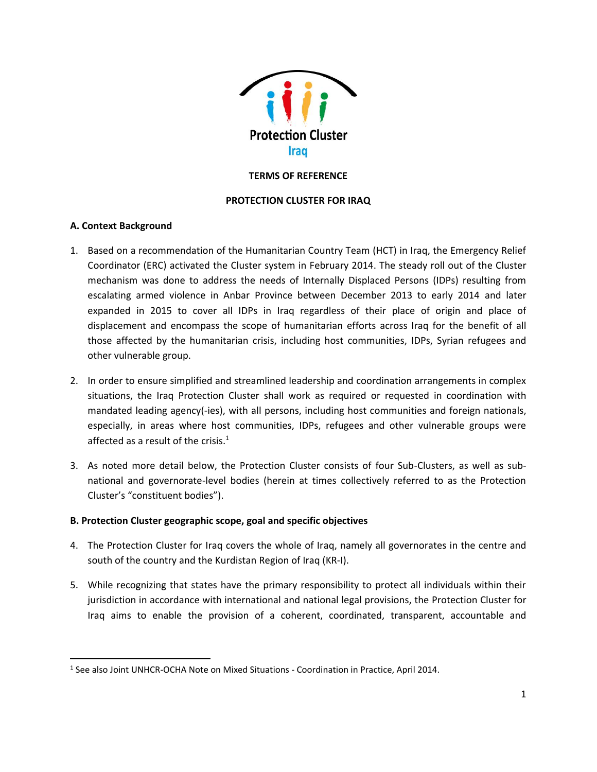

# **TERMS OF REFERENCE**

# **PROTECTION CLUSTER FOR IRAQ**

# **A. Context Background**

 $\overline{\phantom{a}}$ 

- 1. Based on a recommendation of the Humanitarian Country Team (HCT) in Iraq, the Emergency Relief Coordinator (ERC) activated the Cluster system in February 2014. The steady roll out of the Cluster mechanism was done to address the needs of Internally Displaced Persons (IDPs) resulting from escalating armed violence in Anbar Province between December 2013 to early 2014 and later expanded in 2015 to cover all IDPs in Iraq regardless of their place of origin and place of displacement and encompass the scope of humanitarian efforts across Iraq for the benefit of all those affected by the humanitarian crisis, including host communities, IDPs, Syrian refugees and other vulnerable group.
- 2. In order to ensure simplified and streamlined leadership and coordination arrangements in complex situations, the Iraq Protection Cluster shall work as required or requested in coordination with mandated leading agency(-ies), with all persons, including host communities and foreign nationals, especially, in areas where host communities, IDPs, refugees and other vulnerable groups were affected as a result of the crisis.<sup>1</sup>
- 3. As noted more detail below, the Protection Cluster consists of four Sub-Clusters, as well as subnational and governorate-level bodies (herein at times collectively referred to as the Protection Cluster's "constituent bodies").

# **B. Protection Cluster geographic scope, goal and specific objectives**

- 4. The Protection Cluster for Iraq covers the whole of Iraq, namely all governorates in the centre and south of the country and the Kurdistan Region of Iraq (KR-I).
- 5. While recognizing that states have the primary responsibility to protect all individuals within their jurisdiction in accordance with international and national legal provisions, the Protection Cluster for Iraq aims to enable the provision of a coherent, coordinated, transparent, accountable and

<sup>&</sup>lt;sup>1</sup> See also Joint UNHCR-OCHA Note on Mixed Situations - Coordination in Practice, April 2014.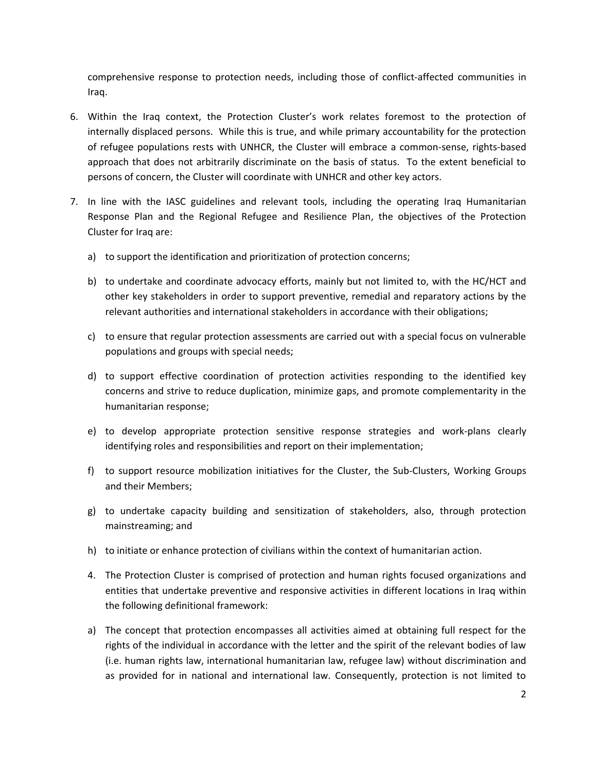comprehensive response to protection needs, including those of conflict-affected communities in Iraq.

- 6. Within the Iraq context, the Protection Cluster's work relates foremost to the protection of internally displaced persons. While this is true, and while primary accountability for the protection of refugee populations rests with UNHCR, the Cluster will embrace a common-sense, rights-based approach that does not arbitrarily discriminate on the basis of status. To the extent beneficial to persons of concern, the Cluster will coordinate with UNHCR and other key actors.
- 7. In line with the IASC guidelines and relevant tools, including the operating Iraq Humanitarian Response Plan and the Regional Refugee and Resilience Plan, the objectives of the Protection Cluster for Iraq are:
	- a) to support the identification and prioritization of protection concerns;
	- b) to undertake and coordinate advocacy efforts, mainly but not limited to, with the HC/HCT and other key stakeholders in order to support preventive, remedial and reparatory actions by the relevant authorities and international stakeholders in accordance with their obligations;
	- c) to ensure that regular protection assessments are carried out with a special focus on vulnerable populations and groups with special needs;
	- d) to support effective coordination of protection activities responding to the identified key concerns and strive to reduce duplication, minimize gaps, and promote complementarity in the humanitarian response;
	- e) to develop appropriate protection sensitive response strategies and work-plans clearly identifying roles and responsibilities and report on their implementation;
	- f) to support resource mobilization initiatives for the Cluster, the Sub-Clusters, Working Groups and their Members;
	- g) to undertake capacity building and sensitization of stakeholders, also, through protection mainstreaming; and
	- h) to initiate or enhance protection of civilians within the context of humanitarian action.
	- 4. The Protection Cluster is comprised of protection and human rights focused organizations and entities that undertake preventive and responsive activities in different locations in Iraq within the following definitional framework:
	- a) The concept that protection encompasses all activities aimed at obtaining full respect for the rights of the individual in accordance with the letter and the spirit of the relevant bodies of law (i.e. human rights law, international humanitarian law, refugee law) without discrimination and as provided for in national and international law. Consequently, protection is not limited to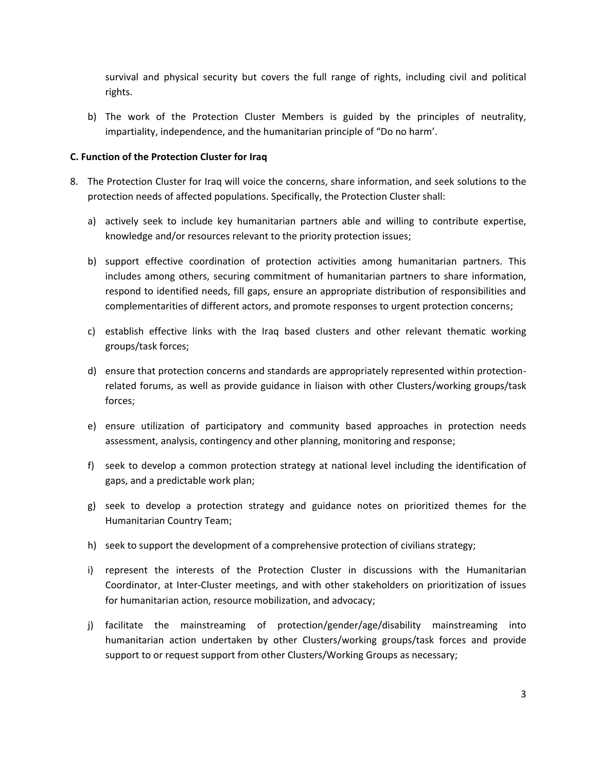survival and physical security but covers the full range of rights, including civil and political rights.

b) The work of the Protection Cluster Members is guided by the principles of neutrality, impartiality, independence, and the humanitarian principle of "Do no harm'.

# **C. Function of the Protection Cluster for Iraq**

- 8. The Protection Cluster for Iraq will voice the concerns, share information, and seek solutions to the protection needs of affected populations. Specifically, the Protection Cluster shall:
	- a) actively seek to include key humanitarian partners able and willing to contribute expertise, knowledge and/or resources relevant to the priority protection issues;
	- b) support effective coordination of protection activities among humanitarian partners. This includes among others, securing commitment of humanitarian partners to share information, respond to identified needs, fill gaps, ensure an appropriate distribution of responsibilities and complementarities of different actors, and promote responses to urgent protection concerns;
	- c) establish effective links with the Iraq based clusters and other relevant thematic working groups/task forces;
	- d) ensure that protection concerns and standards are appropriately represented within protectionrelated forums, as well as provide guidance in liaison with other Clusters/working groups/task forces;
	- e) ensure utilization of participatory and community based approaches in protection needs assessment, analysis, contingency and other planning, monitoring and response;
	- f) seek to develop a common protection strategy at national level including the identification of gaps, and a predictable work plan;
	- g) seek to develop a protection strategy and guidance notes on prioritized themes for the Humanitarian Country Team;
	- h) seek to support the development of a comprehensive protection of civilians strategy;
	- i) represent the interests of the Protection Cluster in discussions with the Humanitarian Coordinator, at Inter-Cluster meetings, and with other stakeholders on prioritization of issues for humanitarian action, resource mobilization, and advocacy;
	- j) facilitate the mainstreaming of protection/gender/age/disability mainstreaming into humanitarian action undertaken by other Clusters/working groups/task forces and provide support to or request support from other Clusters/Working Groups as necessary;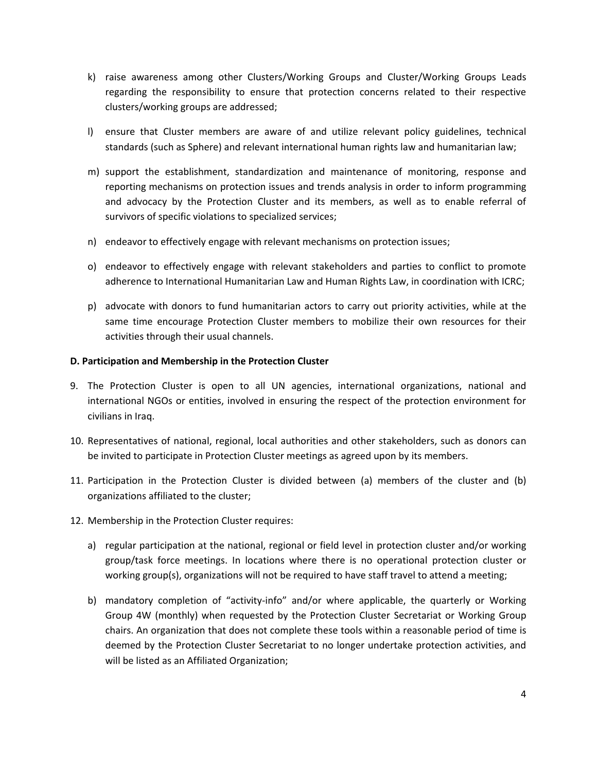- k) raise awareness among other Clusters/Working Groups and Cluster/Working Groups Leads regarding the responsibility to ensure that protection concerns related to their respective clusters/working groups are addressed;
- l) ensure that Cluster members are aware of and utilize relevant policy guidelines, technical standards (such as Sphere) and relevant international human rights law and humanitarian law;
- m) support the establishment, standardization and maintenance of monitoring, response and reporting mechanisms on protection issues and trends analysis in order to inform programming and advocacy by the Protection Cluster and its members, as well as to enable referral of survivors of specific violations to specialized services;
- n) endeavor to effectively engage with relevant mechanisms on protection issues;
- o) endeavor to effectively engage with relevant stakeholders and parties to conflict to promote adherence to International Humanitarian Law and Human Rights Law, in coordination with ICRC;
- p) advocate with donors to fund humanitarian actors to carry out priority activities, while at the same time encourage Protection Cluster members to mobilize their own resources for their activities through their usual channels.

# **D. Participation and Membership in the Protection Cluster**

- 9. The Protection Cluster is open to all UN agencies, international organizations, national and international NGOs or entities, involved in ensuring the respect of the protection environment for civilians in Iraq.
- 10. Representatives of national, regional, local authorities and other stakeholders, such as donors can be invited to participate in Protection Cluster meetings as agreed upon by its members.
- 11. Participation in the Protection Cluster is divided between (a) members of the cluster and (b) organizations affiliated to the cluster;
- 12. Membership in the Protection Cluster requires:
	- a) regular participation at the national, regional or field level in protection cluster and/or working group/task force meetings. In locations where there is no operational protection cluster or working group(s), organizations will not be required to have staff travel to attend a meeting;
	- b) mandatory completion of "activity-info" and/or where applicable, the quarterly or Working Group 4W (monthly) when requested by the Protection Cluster Secretariat or Working Group chairs. An organization that does not complete these tools within a reasonable period of time is deemed by the Protection Cluster Secretariat to no longer undertake protection activities, and will be listed as an Affiliated Organization;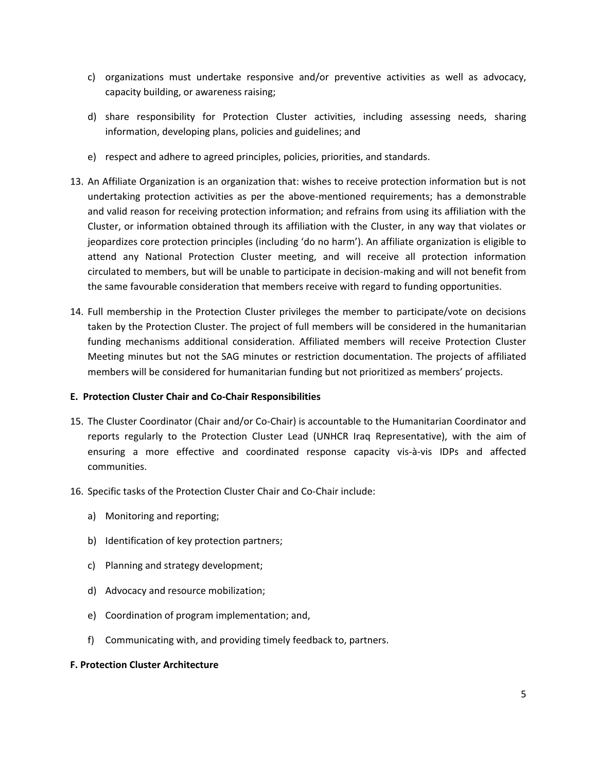- c) organizations must undertake responsive and/or preventive activities as well as advocacy, capacity building, or awareness raising;
- d) share responsibility for Protection Cluster activities, including assessing needs, sharing information, developing plans, policies and guidelines; and
- e) respect and adhere to agreed principles, policies, priorities, and standards.
- 13. An Affiliate Organization is an organization that: wishes to receive protection information but is not undertaking protection activities as per the above-mentioned requirements; has a demonstrable and valid reason for receiving protection information; and refrains from using its affiliation with the Cluster, or information obtained through its affiliation with the Cluster, in any way that violates or jeopardizes core protection principles (including 'do no harm'). An affiliate organization is eligible to attend any National Protection Cluster meeting, and will receive all protection information circulated to members, but will be unable to participate in decision-making and will not benefit from the same favourable consideration that members receive with regard to funding opportunities.
- 14. Full membership in the Protection Cluster privileges the member to participate/vote on decisions taken by the Protection Cluster. The project of full members will be considered in the humanitarian funding mechanisms additional consideration. Affiliated members will receive Protection Cluster Meeting minutes but not the SAG minutes or restriction documentation. The projects of affiliated members will be considered for humanitarian funding but not prioritized as members' projects.

# **E. Protection Cluster Chair and Co-Chair Responsibilities**

- 15. The Cluster Coordinator (Chair and/or Co-Chair) is accountable to the Humanitarian Coordinator and reports regularly to the Protection Cluster Lead (UNHCR Iraq Representative), with the aim of ensuring a more effective and coordinated response capacity vis-à-vis IDPs and affected communities.
- 16. Specific tasks of the Protection Cluster Chair and Co-Chair include:
	- a) Monitoring and reporting;
	- b) Identification of key protection partners;
	- c) Planning and strategy development;
	- d) Advocacy and resource mobilization;
	- e) Coordination of program implementation; and,
	- f) Communicating with, and providing timely feedback to, partners.

# **F. Protection Cluster Architecture**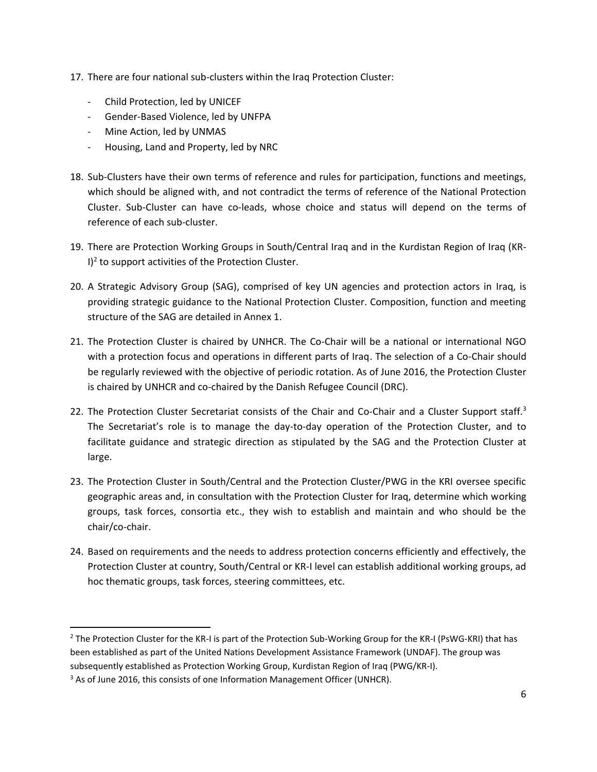- 17. There are four national sub-clusters within the Iraq Protection Cluster:
	- Child Protection, led by UNICEF
	- Gender-Based Violence, led by UNFPA
	- Mine Action, led by UNMAS
	- Housing, Land and Property, led by NRC
- 18. Sub-Clusters have their own terms of reference and rules for participation, functions and meetings, which should be aligned with, and not contradict the terms of reference of the National Protection Cluster. Sub-Cluster can have co-leads, whose choice and status will depend on the terms of reference of each sub-cluster.
- 19. There are Protection Working Groups in South/Central Iraq and in the Kurdistan Region of Iraq (KR- $I)^2$  to support activities of the Protection Cluster.
- 20. A Strategic Advisory Group (SAG), comprised of key UN agencies and protection actors in Iraq, is providing strategic guidance to the National Protection Cluster. Composition, function and meeting structure of the SAG are detailed in Annex 1.
- 21. The Protection Cluster is chaired by UNHCR. The Co-Chair will be a national or international NGO with a protection focus and operations in different parts of Iraq. The selection of a Co-Chair should be regularly reviewed with the objective of periodic rotation. As of June 2016, the Protection Cluster is chaired by UNHCR and co-chaired by the Danish Refugee Council (DRC).
- 22. The Protection Cluster Secretariat consists of the Chair and Co-Chair and a Cluster Support staff.<sup>3</sup> The Secretariat's role is to manage the day-to-day operation of the Protection Cluster, and to facilitate guidance and strategic direction as stipulated by the SAG and the Protection Cluster at large.
- 23. The Protection Cluster in South/Central and the Protection Cluster/PWG in the KRI oversee specific geographic areas and, in consultation with the Protection Cluster for Iraq, determine which working groups, task forces, consortia etc., they wish to establish and maintain and who should be the chair/co-chair.
- 24. Based on requirements and the needs to address protection concerns efficiently and effectively, the Protection Cluster at country, South/Central or KR-I level can establish additional working groups, ad hoc thematic groups, task forces, steering committees, etc.

 $\overline{\phantom{a}}$ 

<sup>&</sup>lt;sup>2</sup> The Protection Cluster for the KR-I is part of the Protection Sub-Working Group for the KR-I (PsWG-KRI) that has been established as part of the United Nations Development Assistance Framework (UNDAF). The group was subsequently established as Protection Working Group, Kurdistan Region of Iraq (PWG/KR-I).

<sup>&</sup>lt;sup>3</sup> As of June 2016, this consists of one Information Management Officer (UNHCR).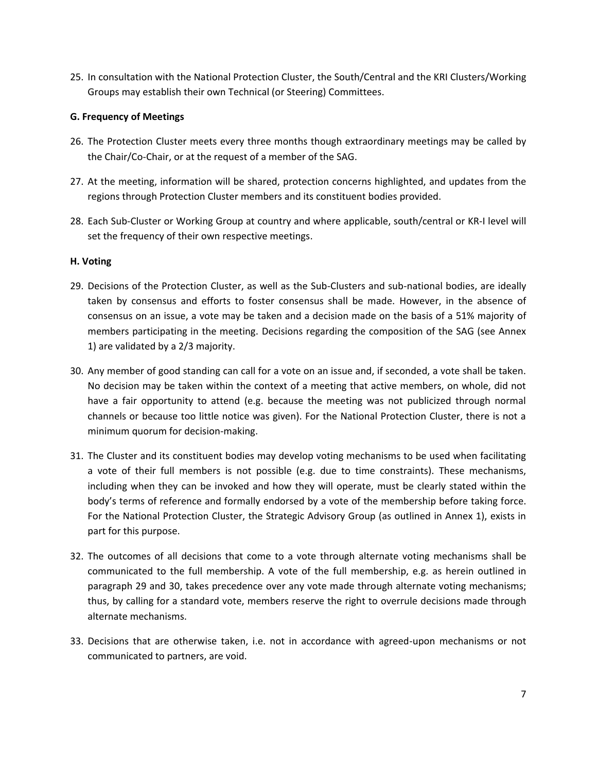25. In consultation with the National Protection Cluster, the South/Central and the KRI Clusters/Working Groups may establish their own Technical (or Steering) Committees.

# **G. Frequency of Meetings**

- 26. The Protection Cluster meets every three months though extraordinary meetings may be called by the Chair/Co-Chair, or at the request of a member of the SAG.
- 27. At the meeting, information will be shared, protection concerns highlighted, and updates from the regions through Protection Cluster members and its constituent bodies provided.
- 28. Each Sub-Cluster or Working Group at country and where applicable, south/central or KR-I level will set the frequency of their own respective meetings.

# **H. Voting**

- 29. Decisions of the Protection Cluster, as well as the Sub-Clusters and sub-national bodies, are ideally taken by consensus and efforts to foster consensus shall be made. However, in the absence of consensus on an issue, a vote may be taken and a decision made on the basis of a 51% majority of members participating in the meeting. Decisions regarding the composition of the SAG (see Annex 1) are validated by a 2/3 majority.
- 30. Any member of good standing can call for a vote on an issue and, if seconded, a vote shall be taken. No decision may be taken within the context of a meeting that active members, on whole, did not have a fair opportunity to attend (e.g. because the meeting was not publicized through normal channels or because too little notice was given). For the National Protection Cluster, there is not a minimum quorum for decision-making.
- 31. The Cluster and its constituent bodies may develop voting mechanisms to be used when facilitating a vote of their full members is not possible (e.g. due to time constraints). These mechanisms, including when they can be invoked and how they will operate, must be clearly stated within the body's terms of reference and formally endorsed by a vote of the membership before taking force. For the National Protection Cluster, the Strategic Advisory Group (as outlined in Annex 1), exists in part for this purpose.
- 32. The outcomes of all decisions that come to a vote through alternate voting mechanisms shall be communicated to the full membership. A vote of the full membership, e.g. as herein outlined in paragraph 29 and 30, takes precedence over any vote made through alternate voting mechanisms; thus, by calling for a standard vote, members reserve the right to overrule decisions made through alternate mechanisms.
- 33. Decisions that are otherwise taken, i.e. not in accordance with agreed-upon mechanisms or not communicated to partners, are void.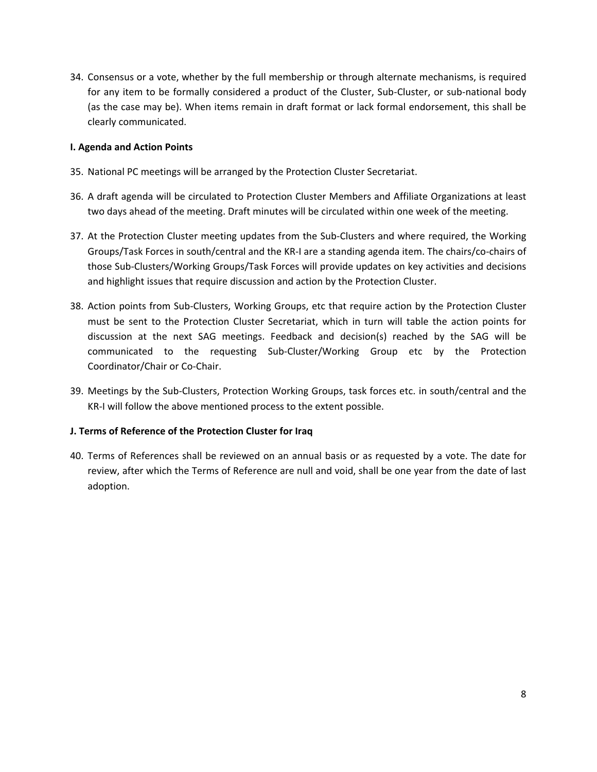34. Consensus or a vote, whether by the full membership or through alternate mechanisms, is required for any item to be formally considered a product of the Cluster, Sub-Cluster, or sub-national body (as the case may be). When items remain in draft format or lack formal endorsement, this shall be clearly communicated.

# **I. Agenda and Action Points**

- 35. National PC meetings will be arranged by the Protection Cluster Secretariat.
- 36. A draft agenda will be circulated to Protection Cluster Members and Affiliate Organizations at least two days ahead of the meeting. Draft minutes will be circulated within one week of the meeting.
- 37. At the Protection Cluster meeting updates from the Sub-Clusters and where required, the Working Groups/Task Forces in south/central and the KR-I are a standing agenda item. The chairs/co-chairs of those Sub-Clusters/Working Groups/Task Forces will provide updates on key activities and decisions and highlight issues that require discussion and action by the Protection Cluster.
- 38. Action points from Sub-Clusters, Working Groups, etc that require action by the Protection Cluster must be sent to the Protection Cluster Secretariat, which in turn will table the action points for discussion at the next SAG meetings. Feedback and decision(s) reached by the SAG will be communicated to the requesting Sub-Cluster/Working Group etc by the Protection Coordinator/Chair or Co-Chair.
- 39. Meetings by the Sub-Clusters, Protection Working Groups, task forces etc. in south/central and the KR-I will follow the above mentioned process to the extent possible.

# **J. Terms of Reference of the Protection Cluster for Iraq**

40. Terms of References shall be reviewed on an annual basis or as requested by a vote. The date for review, after which the Terms of Reference are null and void, shall be one year from the date of last adoption.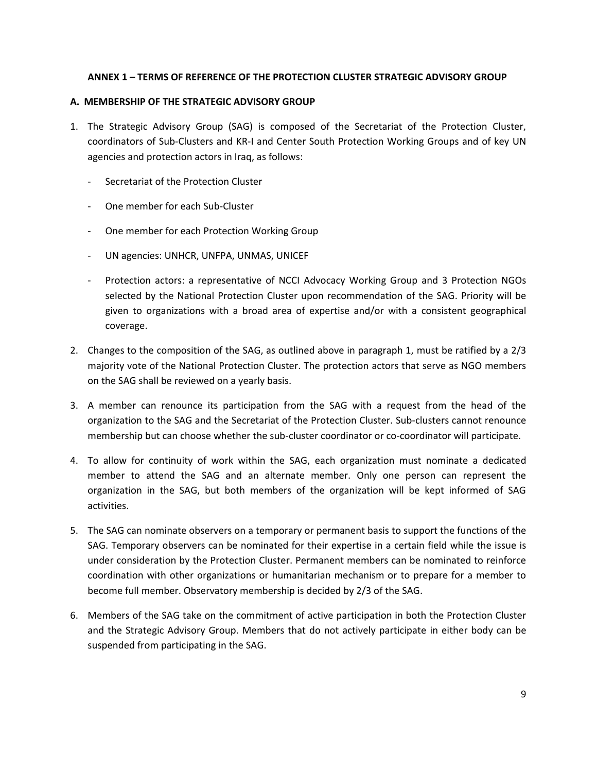# **ANNEX 1 – TERMS OF REFERENCE OF THE PROTECTION CLUSTER STRATEGIC ADVISORY GROUP**

# **A. MEMBERSHIP OF THE STRATEGIC ADVISORY GROUP**

- 1. The Strategic Advisory Group (SAG) is composed of the Secretariat of the Protection Cluster, coordinators of Sub-Clusters and KR-I and Center South Protection Working Groups and of key UN agencies and protection actors in Iraq, as follows:
	- Secretariat of the Protection Cluster
	- One member for each Sub-Cluster
	- One member for each Protection Working Group
	- UN agencies: UNHCR, UNFPA, UNMAS, UNICEF
	- Protection actors: a representative of NCCI Advocacy Working Group and 3 Protection NGOs selected by the National Protection Cluster upon recommendation of the SAG. Priority will be given to organizations with a broad area of expertise and/or with a consistent geographical coverage.
- 2. Changes to the composition of the SAG, as outlined above in paragraph 1, must be ratified by a 2/3 majority vote of the National Protection Cluster. The protection actors that serve as NGO members on the SAG shall be reviewed on a yearly basis.
- 3. A member can renounce its participation from the SAG with a request from the head of the organization to the SAG and the Secretariat of the Protection Cluster. Sub-clusters cannot renounce membership but can choose whether the sub-cluster coordinator or co-coordinator will participate.
- 4. To allow for continuity of work within the SAG, each organization must nominate a dedicated member to attend the SAG and an alternate member. Only one person can represent the organization in the SAG, but both members of the organization will be kept informed of SAG activities.
- 5. The SAG can nominate observers on a temporary or permanent basis to support the functions of the SAG. Temporary observers can be nominated for their expertise in a certain field while the issue is under consideration by the Protection Cluster. Permanent members can be nominated to reinforce coordination with other organizations or humanitarian mechanism or to prepare for a member to become full member. Observatory membership is decided by 2/3 of the SAG.
- 6. Members of the SAG take on the commitment of active participation in both the Protection Cluster and the Strategic Advisory Group. Members that do not actively participate in either body can be suspended from participating in the SAG.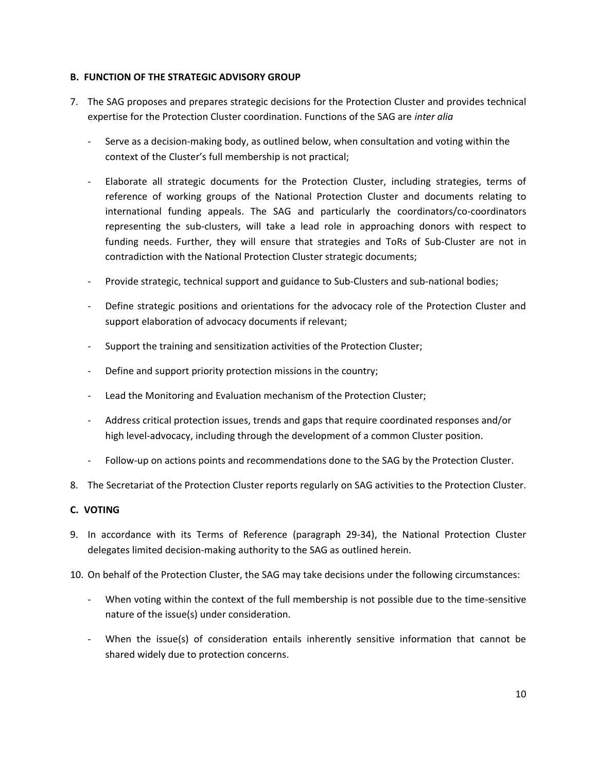# **B. FUNCTION OF THE STRATEGIC ADVISORY GROUP**

- 7. The SAG proposes and prepares strategic decisions for the Protection Cluster and provides technical expertise for the Protection Cluster coordination. Functions of the SAG are *inter alia*
	- Serve as a decision-making body, as outlined below, when consultation and voting within the context of the Cluster's full membership is not practical;
	- Elaborate all strategic documents for the Protection Cluster, including strategies, terms of reference of working groups of the National Protection Cluster and documents relating to international funding appeals. The SAG and particularly the coordinators/co-coordinators representing the sub-clusters, will take a lead role in approaching donors with respect to funding needs. Further, they will ensure that strategies and ToRs of Sub-Cluster are not in contradiction with the National Protection Cluster strategic documents;
	- Provide strategic, technical support and guidance to Sub-Clusters and sub-national bodies;
	- Define strategic positions and orientations for the advocacy role of the Protection Cluster and support elaboration of advocacy documents if relevant;
	- Support the training and sensitization activities of the Protection Cluster;
	- Define and support priority protection missions in the country;
	- Lead the Monitoring and Evaluation mechanism of the Protection Cluster;
	- Address critical protection issues, trends and gaps that require coordinated responses and/or high level-advocacy, including through the development of a common Cluster position.
	- Follow-up on actions points and recommendations done to the SAG by the Protection Cluster.
- 8. The Secretariat of the Protection Cluster reports regularly on SAG activities to the Protection Cluster.

# **C. VOTING**

- 9. In accordance with its Terms of Reference (paragraph 29-34), the National Protection Cluster delegates limited decision-making authority to the SAG as outlined herein.
- 10. On behalf of the Protection Cluster, the SAG may take decisions under the following circumstances:
	- When voting within the context of the full membership is not possible due to the time-sensitive nature of the issue(s) under consideration.
	- When the issue(s) of consideration entails inherently sensitive information that cannot be shared widely due to protection concerns.